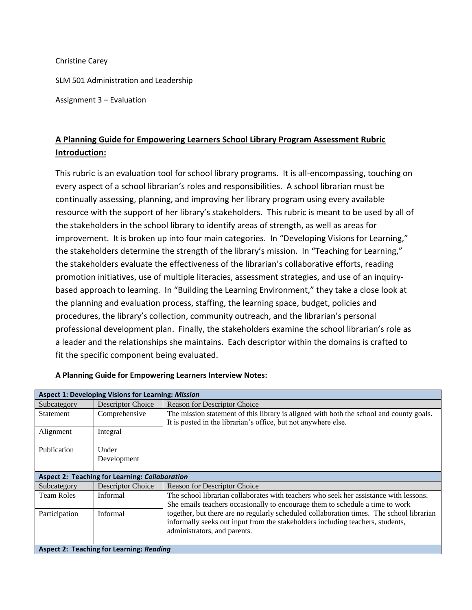Christine Carey

SLM 501 Administration and Leadership

Assignment 3 – Evaluation

# **A Planning Guide for Empowering Learners School Library Program Assessment Rubric Introduction:**

This rubric is an evaluation tool for school library programs. It is all-encompassing, touching on every aspect of a school librarian's roles and responsibilities. A school librarian must be continually assessing, planning, and improving her library program using every available resource with the support of her library's stakeholders. This rubric is meant to be used by all of the stakeholders in the school library to identify areas of strength, as well as areas for improvement. It is broken up into four main categories. In "Developing Visions for Learning," the stakeholders determine the strength of the library's mission. In "Teaching for Learning," the stakeholders evaluate the effectiveness of the librarian's collaborative efforts, reading promotion initiatives, use of multiple literacies, assessment strategies, and use of an inquirybased approach to learning. In "Building the Learning Environment," they take a close look at the planning and evaluation process, staffing, the learning space, budget, policies and procedures, the library's collection, community outreach, and the librarian's personal professional development plan. Finally, the stakeholders examine the school librarian's role as a leader and the relationships she maintains. Each descriptor within the domains is crafted to fit the specific component being evaluated.

| <b>Aspect 1: Developing Visions for Learning: Mission</b> |                          |                                                                                          |  |  |  |
|-----------------------------------------------------------|--------------------------|------------------------------------------------------------------------------------------|--|--|--|
| Subcategory                                               | <b>Descriptor Choice</b> | <b>Reason for Descriptor Choice</b>                                                      |  |  |  |
| Statement                                                 | Comprehensive            | The mission statement of this library is aligned with both the school and county goals.  |  |  |  |
|                                                           |                          | It is posted in the librarian's office, but not anywhere else.                           |  |  |  |
| Alignment                                                 | Integral                 |                                                                                          |  |  |  |
|                                                           |                          |                                                                                          |  |  |  |
| Publication                                               | Under                    |                                                                                          |  |  |  |
|                                                           | Development              |                                                                                          |  |  |  |
|                                                           |                          |                                                                                          |  |  |  |
| <b>Aspect 2: Teaching for Learning: Collaboration</b>     |                          |                                                                                          |  |  |  |
| Subcategory                                               | <b>Descriptor Choice</b> | <b>Reason for Descriptor Choice</b>                                                      |  |  |  |
| <b>Team Roles</b>                                         | Informal                 | The school librarian collaborates with teachers who seek her assistance with lessons.    |  |  |  |
|                                                           |                          | She emails teachers occasionally to encourage them to schedule a time to work            |  |  |  |
| Participation                                             | Informal                 | together, but there are no regularly scheduled collaboration times. The school librarian |  |  |  |
|                                                           |                          | informally seeks out input from the stakeholders including teachers, students,           |  |  |  |
|                                                           |                          | administrators, and parents.                                                             |  |  |  |
|                                                           |                          |                                                                                          |  |  |  |
| <b>Aspect 2: Teaching for Learning: Reading</b>           |                          |                                                                                          |  |  |  |

#### **A Planning Guide for Empowering Learners Interview Notes:**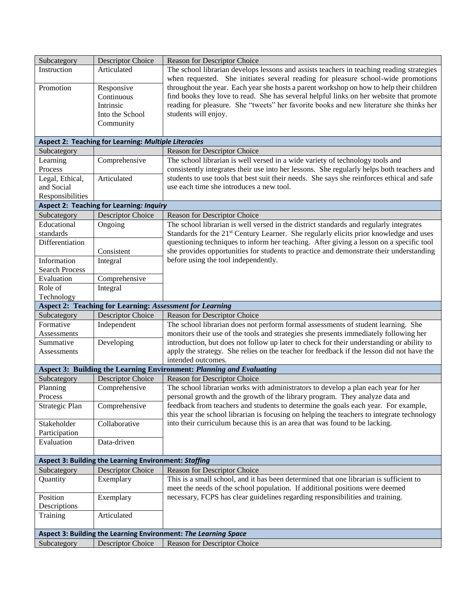| Reason for Descriptor Choice<br>Subcategory<br>Instruction<br>Articulated<br>The school librarian develops lessons and assists teachers in teaching reading strategies<br>when requested. She initiates several reading for pleasure school-wide promotions<br>throughout the year. Each year she hosts a parent workshop on how to help their children<br>Promotion<br>Responsive<br>find books they love to read. She has several helpful links on her website that promote<br>Continuous<br>reading for pleasure. She "tweets" her favorite books and new literature she thinks her<br>Intrinsic<br>students will enjoy.<br>Into the School<br>Community<br>Aspect 2: Teaching for Learning: Multiple Literacies<br>Subcategory<br><b>Reason for Descriptor Choice</b><br>Comprehensive<br>Learning<br>The school librarian is well versed in a wide variety of technology tools and<br>Process<br>consistently integrates their use into her lessons. She regularly helps both teachers and<br>students to use tools that best suit their needs. She says she reinforces ethical and safe<br>Legal, Ethical,<br>Articulated<br>and Social<br>use each time she introduces a new tool.<br>Responsibilities<br><b>Aspect 2: Teaching for Learning: Inquiry</b><br><b>Descriptor Choice</b><br>Subcategory<br>Reason for Descriptor Choice<br>The school librarian is well versed in the district standards and regularly integrates<br>Educational<br>Ongoing<br>standards<br>Standards for the 21 <sup>st</sup> Century Learner. She regularly elicits prior knowledge and uses<br>questioning techniques to inform her teaching. After giving a lesson on a specific tool<br>Differentiation<br>she provides opportunities for students to practice and demonstrate their understanding<br>Consistent<br>before using the tool independently.<br>Information<br>Integral<br><b>Search Process</b><br>Evaluation<br>Comprehensive<br>Role of<br>Integral<br>Technology<br><b>Aspect 2: Teaching for Learning: Assessment for Learning</b><br><b>Descriptor Choice</b><br>Reason for Descriptor Choice<br>Subcategory<br>Formative<br>Independent<br>The school librarian does not perform formal assessments of student learning. She<br>monitors their use of the tools and strategies she presents immediately following her<br>Assessments<br>introduction, but does not follow up later to check for their understanding or ability to<br>Summative<br>Developing<br>apply the strategy. She relies on the teacher for feedback if the lesson did not have the<br>Assessments<br>intended outcomes.<br>Aspect 3: Building the Learning Environment: Planning and Evaluating<br>Subcategory<br><b>Descriptor Choice</b><br>Reason for Descriptor Choice<br>The school librarian works with administrators to develop a plan each year for her<br>Planning<br>Comprehensive<br>personal growth and the growth of the library program. They analyze data and<br>Process<br>feedback from teachers and students to determine the goals each year. For example,<br>Strategic Plan<br>Comprehensive<br>this year the school librarian is focusing on helping the teachers to integrate technology<br>into their curriculum because this is an area that was found to be lacking.<br>Collaborative<br>Stakeholder<br>Participation<br>Data-driven<br>Evaluation |
|-----------------------------------------------------------------------------------------------------------------------------------------------------------------------------------------------------------------------------------------------------------------------------------------------------------------------------------------------------------------------------------------------------------------------------------------------------------------------------------------------------------------------------------------------------------------------------------------------------------------------------------------------------------------------------------------------------------------------------------------------------------------------------------------------------------------------------------------------------------------------------------------------------------------------------------------------------------------------------------------------------------------------------------------------------------------------------------------------------------------------------------------------------------------------------------------------------------------------------------------------------------------------------------------------------------------------------------------------------------------------------------------------------------------------------------------------------------------------------------------------------------------------------------------------------------------------------------------------------------------------------------------------------------------------------------------------------------------------------------------------------------------------------------------------------------------------------------------------------------------------------------------------------------------------------------------------------------------------------------------------------------------------------------------------------------------------------------------------------------------------------------------------------------------------------------------------------------------------------------------------------------------------------------------------------------------------------------------------------------------------------------------------------------------------------------------------------------------------------------------------------------------------------------------------------------------------------------------------------------------------------------------------------------------------------------------------------------------------------------------------------------------------------------------------------------------------------------------------------------------------------------------------------------------------------------------------------------------------------------------------------------------------------------------------------------------------------------------------------------------------------------------------------------------------------------------------------------------------------------------------------------------------------------------------------------------------------------------------------------------|
|                                                                                                                                                                                                                                                                                                                                                                                                                                                                                                                                                                                                                                                                                                                                                                                                                                                                                                                                                                                                                                                                                                                                                                                                                                                                                                                                                                                                                                                                                                                                                                                                                                                                                                                                                                                                                                                                                                                                                                                                                                                                                                                                                                                                                                                                                                                                                                                                                                                                                                                                                                                                                                                                                                                                                                                                                                                                                                                                                                                                                                                                                                                                                                                                                                                                                                                                                                 |
|                                                                                                                                                                                                                                                                                                                                                                                                                                                                                                                                                                                                                                                                                                                                                                                                                                                                                                                                                                                                                                                                                                                                                                                                                                                                                                                                                                                                                                                                                                                                                                                                                                                                                                                                                                                                                                                                                                                                                                                                                                                                                                                                                                                                                                                                                                                                                                                                                                                                                                                                                                                                                                                                                                                                                                                                                                                                                                                                                                                                                                                                                                                                                                                                                                                                                                                                                                 |
|                                                                                                                                                                                                                                                                                                                                                                                                                                                                                                                                                                                                                                                                                                                                                                                                                                                                                                                                                                                                                                                                                                                                                                                                                                                                                                                                                                                                                                                                                                                                                                                                                                                                                                                                                                                                                                                                                                                                                                                                                                                                                                                                                                                                                                                                                                                                                                                                                                                                                                                                                                                                                                                                                                                                                                                                                                                                                                                                                                                                                                                                                                                                                                                                                                                                                                                                                                 |
|                                                                                                                                                                                                                                                                                                                                                                                                                                                                                                                                                                                                                                                                                                                                                                                                                                                                                                                                                                                                                                                                                                                                                                                                                                                                                                                                                                                                                                                                                                                                                                                                                                                                                                                                                                                                                                                                                                                                                                                                                                                                                                                                                                                                                                                                                                                                                                                                                                                                                                                                                                                                                                                                                                                                                                                                                                                                                                                                                                                                                                                                                                                                                                                                                                                                                                                                                                 |
|                                                                                                                                                                                                                                                                                                                                                                                                                                                                                                                                                                                                                                                                                                                                                                                                                                                                                                                                                                                                                                                                                                                                                                                                                                                                                                                                                                                                                                                                                                                                                                                                                                                                                                                                                                                                                                                                                                                                                                                                                                                                                                                                                                                                                                                                                                                                                                                                                                                                                                                                                                                                                                                                                                                                                                                                                                                                                                                                                                                                                                                                                                                                                                                                                                                                                                                                                                 |
|                                                                                                                                                                                                                                                                                                                                                                                                                                                                                                                                                                                                                                                                                                                                                                                                                                                                                                                                                                                                                                                                                                                                                                                                                                                                                                                                                                                                                                                                                                                                                                                                                                                                                                                                                                                                                                                                                                                                                                                                                                                                                                                                                                                                                                                                                                                                                                                                                                                                                                                                                                                                                                                                                                                                                                                                                                                                                                                                                                                                                                                                                                                                                                                                                                                                                                                                                                 |
|                                                                                                                                                                                                                                                                                                                                                                                                                                                                                                                                                                                                                                                                                                                                                                                                                                                                                                                                                                                                                                                                                                                                                                                                                                                                                                                                                                                                                                                                                                                                                                                                                                                                                                                                                                                                                                                                                                                                                                                                                                                                                                                                                                                                                                                                                                                                                                                                                                                                                                                                                                                                                                                                                                                                                                                                                                                                                                                                                                                                                                                                                                                                                                                                                                                                                                                                                                 |
|                                                                                                                                                                                                                                                                                                                                                                                                                                                                                                                                                                                                                                                                                                                                                                                                                                                                                                                                                                                                                                                                                                                                                                                                                                                                                                                                                                                                                                                                                                                                                                                                                                                                                                                                                                                                                                                                                                                                                                                                                                                                                                                                                                                                                                                                                                                                                                                                                                                                                                                                                                                                                                                                                                                                                                                                                                                                                                                                                                                                                                                                                                                                                                                                                                                                                                                                                                 |
|                                                                                                                                                                                                                                                                                                                                                                                                                                                                                                                                                                                                                                                                                                                                                                                                                                                                                                                                                                                                                                                                                                                                                                                                                                                                                                                                                                                                                                                                                                                                                                                                                                                                                                                                                                                                                                                                                                                                                                                                                                                                                                                                                                                                                                                                                                                                                                                                                                                                                                                                                                                                                                                                                                                                                                                                                                                                                                                                                                                                                                                                                                                                                                                                                                                                                                                                                                 |
|                                                                                                                                                                                                                                                                                                                                                                                                                                                                                                                                                                                                                                                                                                                                                                                                                                                                                                                                                                                                                                                                                                                                                                                                                                                                                                                                                                                                                                                                                                                                                                                                                                                                                                                                                                                                                                                                                                                                                                                                                                                                                                                                                                                                                                                                                                                                                                                                                                                                                                                                                                                                                                                                                                                                                                                                                                                                                                                                                                                                                                                                                                                                                                                                                                                                                                                                                                 |
|                                                                                                                                                                                                                                                                                                                                                                                                                                                                                                                                                                                                                                                                                                                                                                                                                                                                                                                                                                                                                                                                                                                                                                                                                                                                                                                                                                                                                                                                                                                                                                                                                                                                                                                                                                                                                                                                                                                                                                                                                                                                                                                                                                                                                                                                                                                                                                                                                                                                                                                                                                                                                                                                                                                                                                                                                                                                                                                                                                                                                                                                                                                                                                                                                                                                                                                                                                 |
|                                                                                                                                                                                                                                                                                                                                                                                                                                                                                                                                                                                                                                                                                                                                                                                                                                                                                                                                                                                                                                                                                                                                                                                                                                                                                                                                                                                                                                                                                                                                                                                                                                                                                                                                                                                                                                                                                                                                                                                                                                                                                                                                                                                                                                                                                                                                                                                                                                                                                                                                                                                                                                                                                                                                                                                                                                                                                                                                                                                                                                                                                                                                                                                                                                                                                                                                                                 |
|                                                                                                                                                                                                                                                                                                                                                                                                                                                                                                                                                                                                                                                                                                                                                                                                                                                                                                                                                                                                                                                                                                                                                                                                                                                                                                                                                                                                                                                                                                                                                                                                                                                                                                                                                                                                                                                                                                                                                                                                                                                                                                                                                                                                                                                                                                                                                                                                                                                                                                                                                                                                                                                                                                                                                                                                                                                                                                                                                                                                                                                                                                                                                                                                                                                                                                                                                                 |
|                                                                                                                                                                                                                                                                                                                                                                                                                                                                                                                                                                                                                                                                                                                                                                                                                                                                                                                                                                                                                                                                                                                                                                                                                                                                                                                                                                                                                                                                                                                                                                                                                                                                                                                                                                                                                                                                                                                                                                                                                                                                                                                                                                                                                                                                                                                                                                                                                                                                                                                                                                                                                                                                                                                                                                                                                                                                                                                                                                                                                                                                                                                                                                                                                                                                                                                                                                 |
|                                                                                                                                                                                                                                                                                                                                                                                                                                                                                                                                                                                                                                                                                                                                                                                                                                                                                                                                                                                                                                                                                                                                                                                                                                                                                                                                                                                                                                                                                                                                                                                                                                                                                                                                                                                                                                                                                                                                                                                                                                                                                                                                                                                                                                                                                                                                                                                                                                                                                                                                                                                                                                                                                                                                                                                                                                                                                                                                                                                                                                                                                                                                                                                                                                                                                                                                                                 |
|                                                                                                                                                                                                                                                                                                                                                                                                                                                                                                                                                                                                                                                                                                                                                                                                                                                                                                                                                                                                                                                                                                                                                                                                                                                                                                                                                                                                                                                                                                                                                                                                                                                                                                                                                                                                                                                                                                                                                                                                                                                                                                                                                                                                                                                                                                                                                                                                                                                                                                                                                                                                                                                                                                                                                                                                                                                                                                                                                                                                                                                                                                                                                                                                                                                                                                                                                                 |
|                                                                                                                                                                                                                                                                                                                                                                                                                                                                                                                                                                                                                                                                                                                                                                                                                                                                                                                                                                                                                                                                                                                                                                                                                                                                                                                                                                                                                                                                                                                                                                                                                                                                                                                                                                                                                                                                                                                                                                                                                                                                                                                                                                                                                                                                                                                                                                                                                                                                                                                                                                                                                                                                                                                                                                                                                                                                                                                                                                                                                                                                                                                                                                                                                                                                                                                                                                 |
|                                                                                                                                                                                                                                                                                                                                                                                                                                                                                                                                                                                                                                                                                                                                                                                                                                                                                                                                                                                                                                                                                                                                                                                                                                                                                                                                                                                                                                                                                                                                                                                                                                                                                                                                                                                                                                                                                                                                                                                                                                                                                                                                                                                                                                                                                                                                                                                                                                                                                                                                                                                                                                                                                                                                                                                                                                                                                                                                                                                                                                                                                                                                                                                                                                                                                                                                                                 |
|                                                                                                                                                                                                                                                                                                                                                                                                                                                                                                                                                                                                                                                                                                                                                                                                                                                                                                                                                                                                                                                                                                                                                                                                                                                                                                                                                                                                                                                                                                                                                                                                                                                                                                                                                                                                                                                                                                                                                                                                                                                                                                                                                                                                                                                                                                                                                                                                                                                                                                                                                                                                                                                                                                                                                                                                                                                                                                                                                                                                                                                                                                                                                                                                                                                                                                                                                                 |
|                                                                                                                                                                                                                                                                                                                                                                                                                                                                                                                                                                                                                                                                                                                                                                                                                                                                                                                                                                                                                                                                                                                                                                                                                                                                                                                                                                                                                                                                                                                                                                                                                                                                                                                                                                                                                                                                                                                                                                                                                                                                                                                                                                                                                                                                                                                                                                                                                                                                                                                                                                                                                                                                                                                                                                                                                                                                                                                                                                                                                                                                                                                                                                                                                                                                                                                                                                 |
|                                                                                                                                                                                                                                                                                                                                                                                                                                                                                                                                                                                                                                                                                                                                                                                                                                                                                                                                                                                                                                                                                                                                                                                                                                                                                                                                                                                                                                                                                                                                                                                                                                                                                                                                                                                                                                                                                                                                                                                                                                                                                                                                                                                                                                                                                                                                                                                                                                                                                                                                                                                                                                                                                                                                                                                                                                                                                                                                                                                                                                                                                                                                                                                                                                                                                                                                                                 |
|                                                                                                                                                                                                                                                                                                                                                                                                                                                                                                                                                                                                                                                                                                                                                                                                                                                                                                                                                                                                                                                                                                                                                                                                                                                                                                                                                                                                                                                                                                                                                                                                                                                                                                                                                                                                                                                                                                                                                                                                                                                                                                                                                                                                                                                                                                                                                                                                                                                                                                                                                                                                                                                                                                                                                                                                                                                                                                                                                                                                                                                                                                                                                                                                                                                                                                                                                                 |
|                                                                                                                                                                                                                                                                                                                                                                                                                                                                                                                                                                                                                                                                                                                                                                                                                                                                                                                                                                                                                                                                                                                                                                                                                                                                                                                                                                                                                                                                                                                                                                                                                                                                                                                                                                                                                                                                                                                                                                                                                                                                                                                                                                                                                                                                                                                                                                                                                                                                                                                                                                                                                                                                                                                                                                                                                                                                                                                                                                                                                                                                                                                                                                                                                                                                                                                                                                 |
|                                                                                                                                                                                                                                                                                                                                                                                                                                                                                                                                                                                                                                                                                                                                                                                                                                                                                                                                                                                                                                                                                                                                                                                                                                                                                                                                                                                                                                                                                                                                                                                                                                                                                                                                                                                                                                                                                                                                                                                                                                                                                                                                                                                                                                                                                                                                                                                                                                                                                                                                                                                                                                                                                                                                                                                                                                                                                                                                                                                                                                                                                                                                                                                                                                                                                                                                                                 |
|                                                                                                                                                                                                                                                                                                                                                                                                                                                                                                                                                                                                                                                                                                                                                                                                                                                                                                                                                                                                                                                                                                                                                                                                                                                                                                                                                                                                                                                                                                                                                                                                                                                                                                                                                                                                                                                                                                                                                                                                                                                                                                                                                                                                                                                                                                                                                                                                                                                                                                                                                                                                                                                                                                                                                                                                                                                                                                                                                                                                                                                                                                                                                                                                                                                                                                                                                                 |
|                                                                                                                                                                                                                                                                                                                                                                                                                                                                                                                                                                                                                                                                                                                                                                                                                                                                                                                                                                                                                                                                                                                                                                                                                                                                                                                                                                                                                                                                                                                                                                                                                                                                                                                                                                                                                                                                                                                                                                                                                                                                                                                                                                                                                                                                                                                                                                                                                                                                                                                                                                                                                                                                                                                                                                                                                                                                                                                                                                                                                                                                                                                                                                                                                                                                                                                                                                 |
|                                                                                                                                                                                                                                                                                                                                                                                                                                                                                                                                                                                                                                                                                                                                                                                                                                                                                                                                                                                                                                                                                                                                                                                                                                                                                                                                                                                                                                                                                                                                                                                                                                                                                                                                                                                                                                                                                                                                                                                                                                                                                                                                                                                                                                                                                                                                                                                                                                                                                                                                                                                                                                                                                                                                                                                                                                                                                                                                                                                                                                                                                                                                                                                                                                                                                                                                                                 |
|                                                                                                                                                                                                                                                                                                                                                                                                                                                                                                                                                                                                                                                                                                                                                                                                                                                                                                                                                                                                                                                                                                                                                                                                                                                                                                                                                                                                                                                                                                                                                                                                                                                                                                                                                                                                                                                                                                                                                                                                                                                                                                                                                                                                                                                                                                                                                                                                                                                                                                                                                                                                                                                                                                                                                                                                                                                                                                                                                                                                                                                                                                                                                                                                                                                                                                                                                                 |
|                                                                                                                                                                                                                                                                                                                                                                                                                                                                                                                                                                                                                                                                                                                                                                                                                                                                                                                                                                                                                                                                                                                                                                                                                                                                                                                                                                                                                                                                                                                                                                                                                                                                                                                                                                                                                                                                                                                                                                                                                                                                                                                                                                                                                                                                                                                                                                                                                                                                                                                                                                                                                                                                                                                                                                                                                                                                                                                                                                                                                                                                                                                                                                                                                                                                                                                                                                 |
|                                                                                                                                                                                                                                                                                                                                                                                                                                                                                                                                                                                                                                                                                                                                                                                                                                                                                                                                                                                                                                                                                                                                                                                                                                                                                                                                                                                                                                                                                                                                                                                                                                                                                                                                                                                                                                                                                                                                                                                                                                                                                                                                                                                                                                                                                                                                                                                                                                                                                                                                                                                                                                                                                                                                                                                                                                                                                                                                                                                                                                                                                                                                                                                                                                                                                                                                                                 |
|                                                                                                                                                                                                                                                                                                                                                                                                                                                                                                                                                                                                                                                                                                                                                                                                                                                                                                                                                                                                                                                                                                                                                                                                                                                                                                                                                                                                                                                                                                                                                                                                                                                                                                                                                                                                                                                                                                                                                                                                                                                                                                                                                                                                                                                                                                                                                                                                                                                                                                                                                                                                                                                                                                                                                                                                                                                                                                                                                                                                                                                                                                                                                                                                                                                                                                                                                                 |
|                                                                                                                                                                                                                                                                                                                                                                                                                                                                                                                                                                                                                                                                                                                                                                                                                                                                                                                                                                                                                                                                                                                                                                                                                                                                                                                                                                                                                                                                                                                                                                                                                                                                                                                                                                                                                                                                                                                                                                                                                                                                                                                                                                                                                                                                                                                                                                                                                                                                                                                                                                                                                                                                                                                                                                                                                                                                                                                                                                                                                                                                                                                                                                                                                                                                                                                                                                 |
|                                                                                                                                                                                                                                                                                                                                                                                                                                                                                                                                                                                                                                                                                                                                                                                                                                                                                                                                                                                                                                                                                                                                                                                                                                                                                                                                                                                                                                                                                                                                                                                                                                                                                                                                                                                                                                                                                                                                                                                                                                                                                                                                                                                                                                                                                                                                                                                                                                                                                                                                                                                                                                                                                                                                                                                                                                                                                                                                                                                                                                                                                                                                                                                                                                                                                                                                                                 |
|                                                                                                                                                                                                                                                                                                                                                                                                                                                                                                                                                                                                                                                                                                                                                                                                                                                                                                                                                                                                                                                                                                                                                                                                                                                                                                                                                                                                                                                                                                                                                                                                                                                                                                                                                                                                                                                                                                                                                                                                                                                                                                                                                                                                                                                                                                                                                                                                                                                                                                                                                                                                                                                                                                                                                                                                                                                                                                                                                                                                                                                                                                                                                                                                                                                                                                                                                                 |
|                                                                                                                                                                                                                                                                                                                                                                                                                                                                                                                                                                                                                                                                                                                                                                                                                                                                                                                                                                                                                                                                                                                                                                                                                                                                                                                                                                                                                                                                                                                                                                                                                                                                                                                                                                                                                                                                                                                                                                                                                                                                                                                                                                                                                                                                                                                                                                                                                                                                                                                                                                                                                                                                                                                                                                                                                                                                                                                                                                                                                                                                                                                                                                                                                                                                                                                                                                 |
|                                                                                                                                                                                                                                                                                                                                                                                                                                                                                                                                                                                                                                                                                                                                                                                                                                                                                                                                                                                                                                                                                                                                                                                                                                                                                                                                                                                                                                                                                                                                                                                                                                                                                                                                                                                                                                                                                                                                                                                                                                                                                                                                                                                                                                                                                                                                                                                                                                                                                                                                                                                                                                                                                                                                                                                                                                                                                                                                                                                                                                                                                                                                                                                                                                                                                                                                                                 |
|                                                                                                                                                                                                                                                                                                                                                                                                                                                                                                                                                                                                                                                                                                                                                                                                                                                                                                                                                                                                                                                                                                                                                                                                                                                                                                                                                                                                                                                                                                                                                                                                                                                                                                                                                                                                                                                                                                                                                                                                                                                                                                                                                                                                                                                                                                                                                                                                                                                                                                                                                                                                                                                                                                                                                                                                                                                                                                                                                                                                                                                                                                                                                                                                                                                                                                                                                                 |
|                                                                                                                                                                                                                                                                                                                                                                                                                                                                                                                                                                                                                                                                                                                                                                                                                                                                                                                                                                                                                                                                                                                                                                                                                                                                                                                                                                                                                                                                                                                                                                                                                                                                                                                                                                                                                                                                                                                                                                                                                                                                                                                                                                                                                                                                                                                                                                                                                                                                                                                                                                                                                                                                                                                                                                                                                                                                                                                                                                                                                                                                                                                                                                                                                                                                                                                                                                 |
|                                                                                                                                                                                                                                                                                                                                                                                                                                                                                                                                                                                                                                                                                                                                                                                                                                                                                                                                                                                                                                                                                                                                                                                                                                                                                                                                                                                                                                                                                                                                                                                                                                                                                                                                                                                                                                                                                                                                                                                                                                                                                                                                                                                                                                                                                                                                                                                                                                                                                                                                                                                                                                                                                                                                                                                                                                                                                                                                                                                                                                                                                                                                                                                                                                                                                                                                                                 |
|                                                                                                                                                                                                                                                                                                                                                                                                                                                                                                                                                                                                                                                                                                                                                                                                                                                                                                                                                                                                                                                                                                                                                                                                                                                                                                                                                                                                                                                                                                                                                                                                                                                                                                                                                                                                                                                                                                                                                                                                                                                                                                                                                                                                                                                                                                                                                                                                                                                                                                                                                                                                                                                                                                                                                                                                                                                                                                                                                                                                                                                                                                                                                                                                                                                                                                                                                                 |
|                                                                                                                                                                                                                                                                                                                                                                                                                                                                                                                                                                                                                                                                                                                                                                                                                                                                                                                                                                                                                                                                                                                                                                                                                                                                                                                                                                                                                                                                                                                                                                                                                                                                                                                                                                                                                                                                                                                                                                                                                                                                                                                                                                                                                                                                                                                                                                                                                                                                                                                                                                                                                                                                                                                                                                                                                                                                                                                                                                                                                                                                                                                                                                                                                                                                                                                                                                 |
|                                                                                                                                                                                                                                                                                                                                                                                                                                                                                                                                                                                                                                                                                                                                                                                                                                                                                                                                                                                                                                                                                                                                                                                                                                                                                                                                                                                                                                                                                                                                                                                                                                                                                                                                                                                                                                                                                                                                                                                                                                                                                                                                                                                                                                                                                                                                                                                                                                                                                                                                                                                                                                                                                                                                                                                                                                                                                                                                                                                                                                                                                                                                                                                                                                                                                                                                                                 |
| Aspect 3: Building the Learning Environment: Staffing<br>Subcategory<br>Descriptor Choice<br>Reason for Descriptor Choice                                                                                                                                                                                                                                                                                                                                                                                                                                                                                                                                                                                                                                                                                                                                                                                                                                                                                                                                                                                                                                                                                                                                                                                                                                                                                                                                                                                                                                                                                                                                                                                                                                                                                                                                                                                                                                                                                                                                                                                                                                                                                                                                                                                                                                                                                                                                                                                                                                                                                                                                                                                                                                                                                                                                                                                                                                                                                                                                                                                                                                                                                                                                                                                                                                       |
|                                                                                                                                                                                                                                                                                                                                                                                                                                                                                                                                                                                                                                                                                                                                                                                                                                                                                                                                                                                                                                                                                                                                                                                                                                                                                                                                                                                                                                                                                                                                                                                                                                                                                                                                                                                                                                                                                                                                                                                                                                                                                                                                                                                                                                                                                                                                                                                                                                                                                                                                                                                                                                                                                                                                                                                                                                                                                                                                                                                                                                                                                                                                                                                                                                                                                                                                                                 |
| This is a small school, and it has been determined that one librarian is sufficient to<br>Quantity<br>Exemplary<br>meet the needs of the school population. If additional positions were deemed                                                                                                                                                                                                                                                                                                                                                                                                                                                                                                                                                                                                                                                                                                                                                                                                                                                                                                                                                                                                                                                                                                                                                                                                                                                                                                                                                                                                                                                                                                                                                                                                                                                                                                                                                                                                                                                                                                                                                                                                                                                                                                                                                                                                                                                                                                                                                                                                                                                                                                                                                                                                                                                                                                                                                                                                                                                                                                                                                                                                                                                                                                                                                                 |
| necessary, FCPS has clear guidelines regarding responsibilities and training.<br>Position<br>Exemplary                                                                                                                                                                                                                                                                                                                                                                                                                                                                                                                                                                                                                                                                                                                                                                                                                                                                                                                                                                                                                                                                                                                                                                                                                                                                                                                                                                                                                                                                                                                                                                                                                                                                                                                                                                                                                                                                                                                                                                                                                                                                                                                                                                                                                                                                                                                                                                                                                                                                                                                                                                                                                                                                                                                                                                                                                                                                                                                                                                                                                                                                                                                                                                                                                                                          |
| Descriptions                                                                                                                                                                                                                                                                                                                                                                                                                                                                                                                                                                                                                                                                                                                                                                                                                                                                                                                                                                                                                                                                                                                                                                                                                                                                                                                                                                                                                                                                                                                                                                                                                                                                                                                                                                                                                                                                                                                                                                                                                                                                                                                                                                                                                                                                                                                                                                                                                                                                                                                                                                                                                                                                                                                                                                                                                                                                                                                                                                                                                                                                                                                                                                                                                                                                                                                                                    |
| Articulated<br>Training                                                                                                                                                                                                                                                                                                                                                                                                                                                                                                                                                                                                                                                                                                                                                                                                                                                                                                                                                                                                                                                                                                                                                                                                                                                                                                                                                                                                                                                                                                                                                                                                                                                                                                                                                                                                                                                                                                                                                                                                                                                                                                                                                                                                                                                                                                                                                                                                                                                                                                                                                                                                                                                                                                                                                                                                                                                                                                                                                                                                                                                                                                                                                                                                                                                                                                                                         |
|                                                                                                                                                                                                                                                                                                                                                                                                                                                                                                                                                                                                                                                                                                                                                                                                                                                                                                                                                                                                                                                                                                                                                                                                                                                                                                                                                                                                                                                                                                                                                                                                                                                                                                                                                                                                                                                                                                                                                                                                                                                                                                                                                                                                                                                                                                                                                                                                                                                                                                                                                                                                                                                                                                                                                                                                                                                                                                                                                                                                                                                                                                                                                                                                                                                                                                                                                                 |
|                                                                                                                                                                                                                                                                                                                                                                                                                                                                                                                                                                                                                                                                                                                                                                                                                                                                                                                                                                                                                                                                                                                                                                                                                                                                                                                                                                                                                                                                                                                                                                                                                                                                                                                                                                                                                                                                                                                                                                                                                                                                                                                                                                                                                                                                                                                                                                                                                                                                                                                                                                                                                                                                                                                                                                                                                                                                                                                                                                                                                                                                                                                                                                                                                                                                                                                                                                 |
| Aspect 3: Building the Learning Environment: The Learning Space                                                                                                                                                                                                                                                                                                                                                                                                                                                                                                                                                                                                                                                                                                                                                                                                                                                                                                                                                                                                                                                                                                                                                                                                                                                                                                                                                                                                                                                                                                                                                                                                                                                                                                                                                                                                                                                                                                                                                                                                                                                                                                                                                                                                                                                                                                                                                                                                                                                                                                                                                                                                                                                                                                                                                                                                                                                                                                                                                                                                                                                                                                                                                                                                                                                                                                 |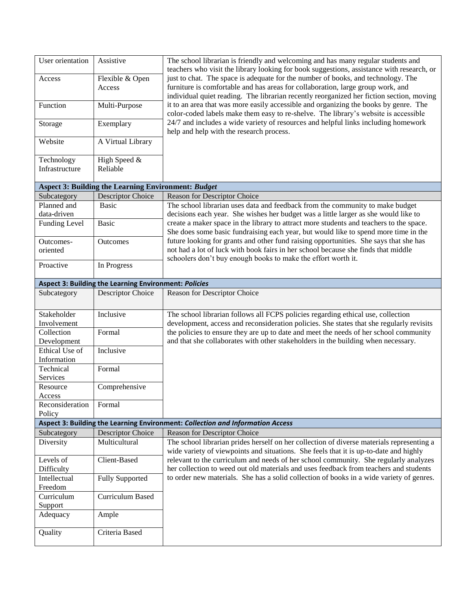| User orientation                                                               | Assistive                                                  | The school librarian is friendly and welcoming and has many regular students and<br>teachers who visit the library looking for book suggestions, assistance with research, or<br>just to chat. The space is adequate for the number of books, and technology. The<br>furniture is comfortable and has areas for collaboration, large group work, and<br>individual quiet reading. The librarian recently reorganized her fiction section, moving<br>it to an area that was more easily accessible and organizing the books by genre. The<br>color-coded labels make them easy to re-shelve. The library's website is accessible<br>24/7 and includes a wide variety of resources and helpful links including homework<br>help and help with the research process. |  |  |
|--------------------------------------------------------------------------------|------------------------------------------------------------|-------------------------------------------------------------------------------------------------------------------------------------------------------------------------------------------------------------------------------------------------------------------------------------------------------------------------------------------------------------------------------------------------------------------------------------------------------------------------------------------------------------------------------------------------------------------------------------------------------------------------------------------------------------------------------------------------------------------------------------------------------------------|--|--|
| Access                                                                         | Flexible & Open<br>Access                                  |                                                                                                                                                                                                                                                                                                                                                                                                                                                                                                                                                                                                                                                                                                                                                                   |  |  |
| Function                                                                       | Multi-Purpose                                              |                                                                                                                                                                                                                                                                                                                                                                                                                                                                                                                                                                                                                                                                                                                                                                   |  |  |
| Storage                                                                        | Exemplary                                                  |                                                                                                                                                                                                                                                                                                                                                                                                                                                                                                                                                                                                                                                                                                                                                                   |  |  |
| Website                                                                        | A Virtual Library                                          |                                                                                                                                                                                                                                                                                                                                                                                                                                                                                                                                                                                                                                                                                                                                                                   |  |  |
| Technology<br>Infrastructure                                                   | High Speed &<br>Reliable                                   |                                                                                                                                                                                                                                                                                                                                                                                                                                                                                                                                                                                                                                                                                                                                                                   |  |  |
|                                                                                | <b>Aspect 3: Building the Learning Environment: Budget</b> |                                                                                                                                                                                                                                                                                                                                                                                                                                                                                                                                                                                                                                                                                                                                                                   |  |  |
| Subcategory                                                                    | <b>Descriptor Choice</b>                                   | Reason for Descriptor Choice                                                                                                                                                                                                                                                                                                                                                                                                                                                                                                                                                                                                                                                                                                                                      |  |  |
| Planned and                                                                    | <b>Basic</b>                                               | The school librarian uses data and feedback from the community to make budget                                                                                                                                                                                                                                                                                                                                                                                                                                                                                                                                                                                                                                                                                     |  |  |
| data-driven                                                                    |                                                            | decisions each year. She wishes her budget was a little larger as she would like to                                                                                                                                                                                                                                                                                                                                                                                                                                                                                                                                                                                                                                                                               |  |  |
| Funding Level                                                                  | <b>Basic</b>                                               | create a maker space in the library to attract more students and teachers to the space.<br>She does some basic fundraising each year, but would like to spend more time in the                                                                                                                                                                                                                                                                                                                                                                                                                                                                                                                                                                                    |  |  |
| Outcomes-                                                                      | Outcomes                                                   | future looking for grants and other fund raising opportunities. She says that she has                                                                                                                                                                                                                                                                                                                                                                                                                                                                                                                                                                                                                                                                             |  |  |
| oriented                                                                       |                                                            | not had a lot of luck with book fairs in her school because she finds that middle                                                                                                                                                                                                                                                                                                                                                                                                                                                                                                                                                                                                                                                                                 |  |  |
| Proactive                                                                      | In Progress                                                | schoolers don't buy enough books to make the effort worth it.                                                                                                                                                                                                                                                                                                                                                                                                                                                                                                                                                                                                                                                                                                     |  |  |
|                                                                                | Aspect 3: Building the Learning Environment: Policies      |                                                                                                                                                                                                                                                                                                                                                                                                                                                                                                                                                                                                                                                                                                                                                                   |  |  |
| Subcategory                                                                    | <b>Descriptor Choice</b>                                   | Reason for Descriptor Choice                                                                                                                                                                                                                                                                                                                                                                                                                                                                                                                                                                                                                                                                                                                                      |  |  |
| Stakeholder                                                                    | Inclusive                                                  | The school librarian follows all FCPS policies regarding ethical use, collection                                                                                                                                                                                                                                                                                                                                                                                                                                                                                                                                                                                                                                                                                  |  |  |
| Involvement                                                                    |                                                            | development, access and reconsideration policies. She states that she regularly revisits                                                                                                                                                                                                                                                                                                                                                                                                                                                                                                                                                                                                                                                                          |  |  |
| Collection<br>Development                                                      | Formal                                                     | the policies to ensure they are up to date and meet the needs of her school community<br>and that she collaborates with other stakeholders in the building when necessary.                                                                                                                                                                                                                                                                                                                                                                                                                                                                                                                                                                                        |  |  |
| Ethical Use of<br>Information                                                  | Inclusive                                                  |                                                                                                                                                                                                                                                                                                                                                                                                                                                                                                                                                                                                                                                                                                                                                                   |  |  |
| Technical<br>Services                                                          | Formal                                                     |                                                                                                                                                                                                                                                                                                                                                                                                                                                                                                                                                                                                                                                                                                                                                                   |  |  |
| Resource                                                                       | Comprehensive                                              |                                                                                                                                                                                                                                                                                                                                                                                                                                                                                                                                                                                                                                                                                                                                                                   |  |  |
| Access                                                                         |                                                            |                                                                                                                                                                                                                                                                                                                                                                                                                                                                                                                                                                                                                                                                                                                                                                   |  |  |
| Reconsideration                                                                | Formal                                                     |                                                                                                                                                                                                                                                                                                                                                                                                                                                                                                                                                                                                                                                                                                                                                                   |  |  |
| Policy                                                                         |                                                            |                                                                                                                                                                                                                                                                                                                                                                                                                                                                                                                                                                                                                                                                                                                                                                   |  |  |
| Aspect 3: Building the Learning Environment: Collection and Information Access |                                                            |                                                                                                                                                                                                                                                                                                                                                                                                                                                                                                                                                                                                                                                                                                                                                                   |  |  |
| Subcategory                                                                    | Descriptor Choice                                          | Reason for Descriptor Choice                                                                                                                                                                                                                                                                                                                                                                                                                                                                                                                                                                                                                                                                                                                                      |  |  |
| Diversity                                                                      | Multicultural                                              | The school librarian prides herself on her collection of diverse materials representing a<br>wide variety of viewpoints and situations. She feels that it is up-to-date and highly                                                                                                                                                                                                                                                                                                                                                                                                                                                                                                                                                                                |  |  |
| Levels of<br>Difficulty                                                        | Client-Based                                               | relevant to the curriculum and needs of her school community. She regularly analyzes<br>her collection to weed out old materials and uses feedback from teachers and students                                                                                                                                                                                                                                                                                                                                                                                                                                                                                                                                                                                     |  |  |
| Intellectual<br>Freedom                                                        | <b>Fully Supported</b>                                     | to order new materials. She has a solid collection of books in a wide variety of genres.                                                                                                                                                                                                                                                                                                                                                                                                                                                                                                                                                                                                                                                                          |  |  |
| Curriculum<br>Support                                                          | <b>Curriculum Based</b>                                    |                                                                                                                                                                                                                                                                                                                                                                                                                                                                                                                                                                                                                                                                                                                                                                   |  |  |
| Adequacy                                                                       | Ample                                                      |                                                                                                                                                                                                                                                                                                                                                                                                                                                                                                                                                                                                                                                                                                                                                                   |  |  |
| Quality                                                                        | Criteria Based                                             |                                                                                                                                                                                                                                                                                                                                                                                                                                                                                                                                                                                                                                                                                                                                                                   |  |  |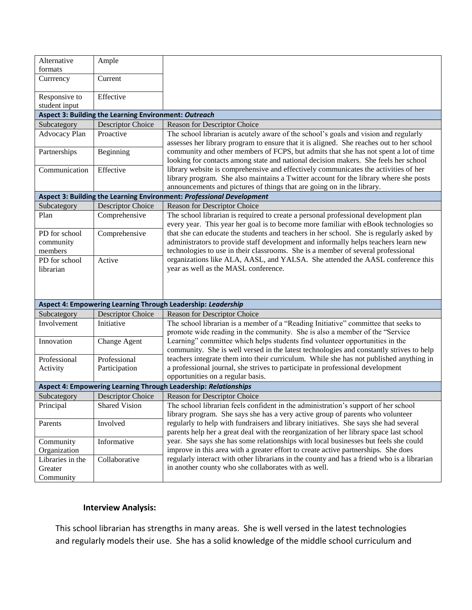| Alternative<br>formats                                          | Ample                    |                                                                                                                                                                                                                                                                                                                                                                                                                                                                                                                                                                                                                                                                                           |  |  |  |
|-----------------------------------------------------------------|--------------------------|-------------------------------------------------------------------------------------------------------------------------------------------------------------------------------------------------------------------------------------------------------------------------------------------------------------------------------------------------------------------------------------------------------------------------------------------------------------------------------------------------------------------------------------------------------------------------------------------------------------------------------------------------------------------------------------------|--|--|--|
| Currrency                                                       | Current                  |                                                                                                                                                                                                                                                                                                                                                                                                                                                                                                                                                                                                                                                                                           |  |  |  |
| Responsive to<br>student input                                  | Effective                |                                                                                                                                                                                                                                                                                                                                                                                                                                                                                                                                                                                                                                                                                           |  |  |  |
| Aspect 3: Building the Learning Environment: Outreach           |                          |                                                                                                                                                                                                                                                                                                                                                                                                                                                                                                                                                                                                                                                                                           |  |  |  |
| Subcategory                                                     | <b>Descriptor Choice</b> | Reason for Descriptor Choice                                                                                                                                                                                                                                                                                                                                                                                                                                                                                                                                                                                                                                                              |  |  |  |
| Advocacy Plan                                                   | Proactive                | The school librarian is acutely aware of the school's goals and vision and regularly<br>assesses her library program to ensure that it is aligned. She reaches out to her school<br>community and other members of FCPS, but admits that she has not spent a lot of time<br>looking for contacts among state and national decision makers. She feels her school<br>library website is comprehensive and effectively communicates the activities of her<br>library program. She also maintains a Twitter account for the library where she posts<br>announcements and pictures of things that are going on in the library.                                                                 |  |  |  |
| Partnerships                                                    | Beginning                |                                                                                                                                                                                                                                                                                                                                                                                                                                                                                                                                                                                                                                                                                           |  |  |  |
| Communication                                                   | Effective                |                                                                                                                                                                                                                                                                                                                                                                                                                                                                                                                                                                                                                                                                                           |  |  |  |
|                                                                 |                          | Aspect 3: Building the Learning Environment: Professional Development                                                                                                                                                                                                                                                                                                                                                                                                                                                                                                                                                                                                                     |  |  |  |
| Subcategory                                                     | Descriptor Choice        | Reason for Descriptor Choice                                                                                                                                                                                                                                                                                                                                                                                                                                                                                                                                                                                                                                                              |  |  |  |
| Plan                                                            | Comprehensive            | The school librarian is required to create a personal professional development plan<br>every year. This year her goal is to become more familiar with eBook technologies so<br>that she can educate the students and teachers in her school. She is regularly asked by<br>administrators to provide staff development and informally helps teachers learn new<br>technologies to use in their classrooms. She is a member of several professional                                                                                                                                                                                                                                         |  |  |  |
| PD for school<br>community<br>members                           | Comprehensive            |                                                                                                                                                                                                                                                                                                                                                                                                                                                                                                                                                                                                                                                                                           |  |  |  |
| PD for school<br>librarian                                      | Active                   | organizations like ALA, AASL, and YALSA. She attended the AASL conference this<br>year as well as the MASL conference.                                                                                                                                                                                                                                                                                                                                                                                                                                                                                                                                                                    |  |  |  |
|                                                                 |                          | Aspect 4: Empowering Learning Through Leadership: Leadership                                                                                                                                                                                                                                                                                                                                                                                                                                                                                                                                                                                                                              |  |  |  |
| Subcategory                                                     | <b>Descriptor Choice</b> | Reason for Descriptor Choice                                                                                                                                                                                                                                                                                                                                                                                                                                                                                                                                                                                                                                                              |  |  |  |
| Involvement                                                     | Initiative               | The school librarian is a member of a "Reading Initiative" committee that seeks to<br>promote wide reading in the community. She is also a member of the "Service<br>Learning" committee which helps students find volunteer opportunities in the<br>community. She is well versed in the latest technologies and constantly strives to help<br>teachers integrate them into their curriculum. While she has not published anything in<br>a professional journal, she strives to participate in professional development<br>opportunities on a regular basis.                                                                                                                             |  |  |  |
| Innovation                                                      | Change Agent             |                                                                                                                                                                                                                                                                                                                                                                                                                                                                                                                                                                                                                                                                                           |  |  |  |
| Professional                                                    | Professional             |                                                                                                                                                                                                                                                                                                                                                                                                                                                                                                                                                                                                                                                                                           |  |  |  |
| Activity                                                        | Participation            |                                                                                                                                                                                                                                                                                                                                                                                                                                                                                                                                                                                                                                                                                           |  |  |  |
| Aspect 4: Empowering Learning Through Leadership: Relationships |                          |                                                                                                                                                                                                                                                                                                                                                                                                                                                                                                                                                                                                                                                                                           |  |  |  |
| Subcategory                                                     | <b>Descriptor Choice</b> | <b>Reason for Descriptor Choice</b>                                                                                                                                                                                                                                                                                                                                                                                                                                                                                                                                                                                                                                                       |  |  |  |
| Principal                                                       | <b>Shared Vision</b>     | The school librarian feels confident in the administration's support of her school<br>library program. She says she has a very active group of parents who volunteer<br>regularly to help with fundraisers and library initiatives. She says she had several<br>parents help her a great deal with the reorganization of her library space last school<br>year. She says she has some relationships with local businesses but feels she could<br>improve in this area with a greater effort to create active partnerships. She does<br>regularly interact with other librarians in the county and has a friend who is a librarian<br>in another county who she collaborates with as well. |  |  |  |
| Parents                                                         | Involved                 |                                                                                                                                                                                                                                                                                                                                                                                                                                                                                                                                                                                                                                                                                           |  |  |  |
| Community<br>Organization                                       | Informative              |                                                                                                                                                                                                                                                                                                                                                                                                                                                                                                                                                                                                                                                                                           |  |  |  |
| Libraries in the<br>Greater<br>Community                        | Collaborative            |                                                                                                                                                                                                                                                                                                                                                                                                                                                                                                                                                                                                                                                                                           |  |  |  |

### **Interview Analysis:**

This school librarian has strengths in many areas. She is well versed in the latest technologies and regularly models their use. She has a solid knowledge of the middle school curriculum and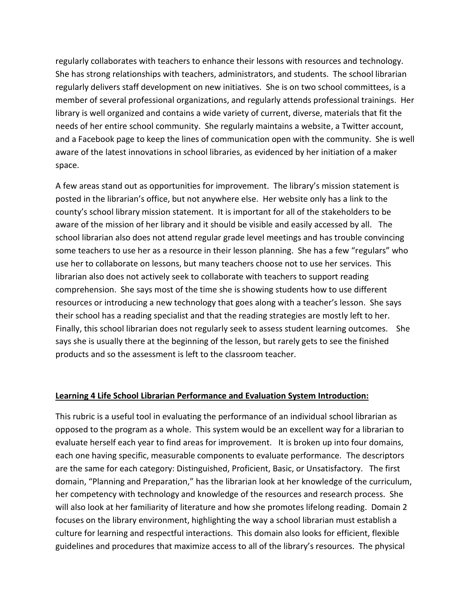regularly collaborates with teachers to enhance their lessons with resources and technology. She has strong relationships with teachers, administrators, and students. The school librarian regularly delivers staff development on new initiatives. She is on two school committees, is a member of several professional organizations, and regularly attends professional trainings. Her library is well organized and contains a wide variety of current, diverse, materials that fit the needs of her entire school community. She regularly maintains a website, a Twitter account, and a Facebook page to keep the lines of communication open with the community. She is well aware of the latest innovations in school libraries, as evidenced by her initiation of a maker space.

A few areas stand out as opportunities for improvement. The library's mission statement is posted in the librarian's office, but not anywhere else. Her website only has a link to the county's school library mission statement. It is important for all of the stakeholders to be aware of the mission of her library and it should be visible and easily accessed by all. The school librarian also does not attend regular grade level meetings and has trouble convincing some teachers to use her as a resource in their lesson planning. She has a few "regulars" who use her to collaborate on lessons, but many teachers choose not to use her services. This librarian also does not actively seek to collaborate with teachers to support reading comprehension. She says most of the time she is showing students how to use different resources or introducing a new technology that goes along with a teacher's lesson. She says their school has a reading specialist and that the reading strategies are mostly left to her. Finally, this school librarian does not regularly seek to assess student learning outcomes. She says she is usually there at the beginning of the lesson, but rarely gets to see the finished products and so the assessment is left to the classroom teacher.

#### **Learning 4 Life School Librarian Performance and Evaluation System Introduction:**

This rubric is a useful tool in evaluating the performance of an individual school librarian as opposed to the program as a whole. This system would be an excellent way for a librarian to evaluate herself each year to find areas for improvement. It is broken up into four domains, each one having specific, measurable components to evaluate performance. The descriptors are the same for each category: Distinguished, Proficient, Basic, or Unsatisfactory. The first domain, "Planning and Preparation," has the librarian look at her knowledge of the curriculum, her competency with technology and knowledge of the resources and research process. She will also look at her familiarity of literature and how she promotes lifelong reading. Domain 2 focuses on the library environment, highlighting the way a school librarian must establish a culture for learning and respectful interactions. This domain also looks for efficient, flexible guidelines and procedures that maximize access to all of the library's resources. The physical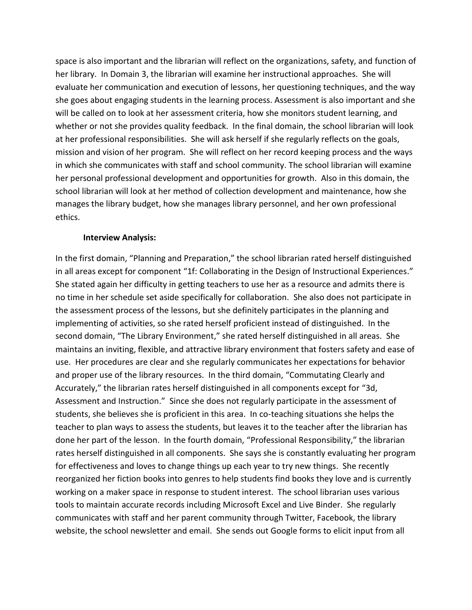space is also important and the librarian will reflect on the organizations, safety, and function of her library. In Domain 3, the librarian will examine her instructional approaches. She will evaluate her communication and execution of lessons, her questioning techniques, and the way she goes about engaging students in the learning process. Assessment is also important and she will be called on to look at her assessment criteria, how she monitors student learning, and whether or not she provides quality feedback. In the final domain, the school librarian will look at her professional responsibilities. She will ask herself if she regularly reflects on the goals, mission and vision of her program. She will reflect on her record keeping process and the ways in which she communicates with staff and school community. The school librarian will examine her personal professional development and opportunities for growth. Also in this domain, the school librarian will look at her method of collection development and maintenance, how she manages the library budget, how she manages library personnel, and her own professional ethics.

#### **Interview Analysis:**

In the first domain, "Planning and Preparation," the school librarian rated herself distinguished in all areas except for component "1f: Collaborating in the Design of Instructional Experiences." She stated again her difficulty in getting teachers to use her as a resource and admits there is no time in her schedule set aside specifically for collaboration. She also does not participate in the assessment process of the lessons, but she definitely participates in the planning and implementing of activities, so she rated herself proficient instead of distinguished. In the second domain, "The Library Environment," she rated herself distinguished in all areas. She maintains an inviting, flexible, and attractive library environment that fosters safety and ease of use. Her procedures are clear and she regularly communicates her expectations for behavior and proper use of the library resources. In the third domain, "Commutating Clearly and Accurately," the librarian rates herself distinguished in all components except for "3d, Assessment and Instruction." Since she does not regularly participate in the assessment of students, she believes she is proficient in this area. In co-teaching situations she helps the teacher to plan ways to assess the students, but leaves it to the teacher after the librarian has done her part of the lesson. In the fourth domain, "Professional Responsibility," the librarian rates herself distinguished in all components. She says she is constantly evaluating her program for effectiveness and loves to change things up each year to try new things. She recently reorganized her fiction books into genres to help students find books they love and is currently working on a maker space in response to student interest. The school librarian uses various tools to maintain accurate records including Microsoft Excel and Live Binder. She regularly communicates with staff and her parent community through Twitter, Facebook, the library website, the school newsletter and email. She sends out Google forms to elicit input from all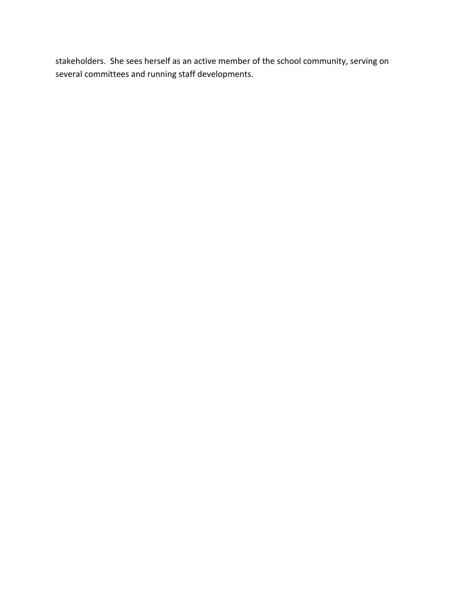stakeholders. She sees herself as an active member of the school community, serving on several committees and running staff developments.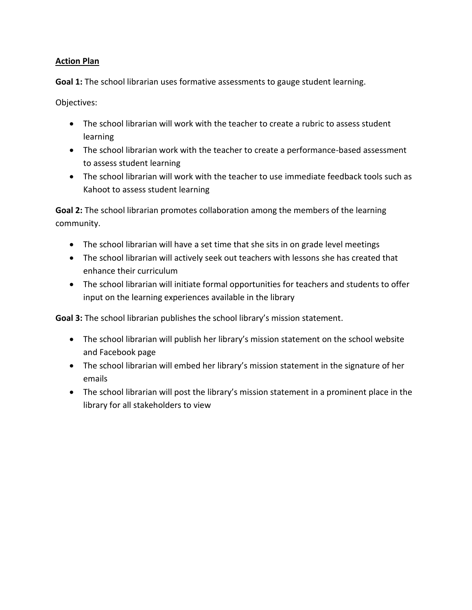## **Action Plan**

**Goal 1:** The school librarian uses formative assessments to gauge student learning.

Objectives:

- The school librarian will work with the teacher to create a rubric to assess student learning
- The school librarian work with the teacher to create a performance-based assessment to assess student learning
- The school librarian will work with the teacher to use immediate feedback tools such as Kahoot to assess student learning

**Goal 2:** The school librarian promotes collaboration among the members of the learning community.

- The school librarian will have a set time that she sits in on grade level meetings
- The school librarian will actively seek out teachers with lessons she has created that enhance their curriculum
- The school librarian will initiate formal opportunities for teachers and students to offer input on the learning experiences available in the library

**Goal 3:** The school librarian publishes the school library's mission statement.

- The school librarian will publish her library's mission statement on the school website and Facebook page
- The school librarian will embed her library's mission statement in the signature of her emails
- The school librarian will post the library's mission statement in a prominent place in the library for all stakeholders to view